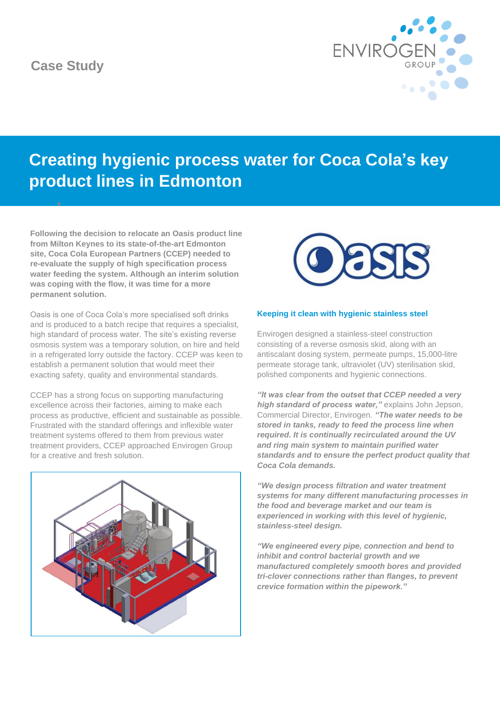# **Case Study**

•



# **Creating hygienic process water for Coca Cola's key product lines in Edmonton**

**Following the decision to relocate an Oasis product line from Milton Keynes to its state-of-the-art Edmonton site, Coca Cola European Partners (CCEP) needed to re-evaluate the supply of high specification process water feeding the system. Although an interim solution was coping with the flow, it was time for a more permanent solution.**

Oasis is one of Coca Cola's more specialised soft drinks and is produced to a batch recipe that requires a specialist, high standard of process water. The site's existing reverse osmosis system was a temporary solution, on hire and held in a refrigerated lorry outside the factory. CCEP was keen to establish a permanent solution that would meet their exacting safety, quality and environmental standards.

CCEP has a strong focus on supporting manufacturing excellence across their factories, aiming to make each process as productive, efficient and sustainable as possible. Frustrated with the standard offerings and inflexible water treatment systems offered to them from previous water treatment providers, CCEP approached Envirogen Group for a creative and fresh solution.





# **Keeping it clean with hygienic stainless steel**

Envirogen designed a stainless-steel construction consisting of a reverse osmosis skid, along with an antiscalant dosing system, permeate pumps, 15,000-litre permeate storage tank, ultraviolet (UV) sterilisation skid, polished components and hygienic connections.

*"It was clear from the outset that CCEP needed a very high standard of process water,"* explains John Jepson, Commercial Director, Envirogen. *"The water needs to be stored in tanks, ready to feed the process line when required. It is continually recirculated around the UV and ring main system to maintain purified water standards and to ensure the perfect product quality that Coca Cola demands.*

*"We design process filtration and water treatment systems for many different manufacturing processes in the food and beverage market and our team is experienced in working with this level of hygienic, stainless-steel design.*

*"We engineered every pipe, connection and bend to inhibit and control bacterial growth and we manufactured completely smooth bores and provided tri-clover connections rather than flanges, to prevent crevice formation within the pipework."*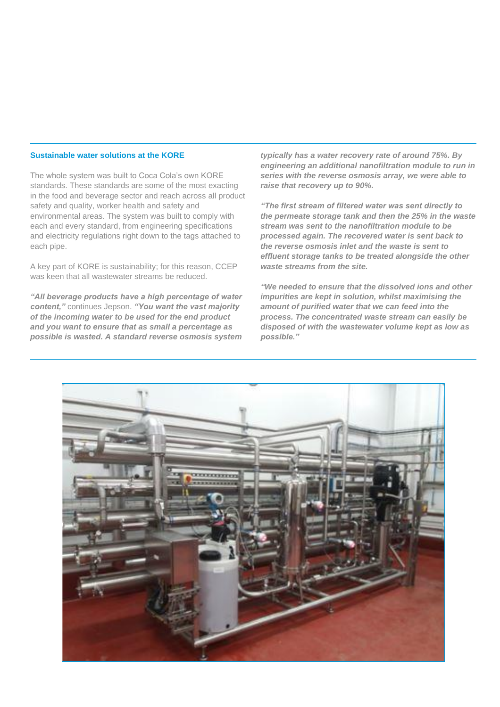# **Sustainable water solutions at the KORE**

The whole system was built to Coca Cola's own KORE standards. These standards are some of the most exacting in the food and beverage sector and reach across all product safety and quality, worker health and safety and environmental areas. The system was built to comply with each and every standard, from engineering specifications and electricity regulations right down to the tags attached to each pipe.

A key part of KORE is sustainability; for this reason, CCEP was keen that all wastewater streams be reduced.

*"All beverage products have a high percentage of water content,"* continues Jepson. *"You want the vast majority of the incoming water to be used for the end product and you want to ensure that as small a percentage as possible is wasted. A standard reverse osmosis system* 

*typically has a water recovery rate of around 75%. By engineering an additional nanofiltration module to run in series with the reverse osmosis array, we were able to raise that recovery up to 90%.*

*"The first stream of filtered water was sent directly to the permeate storage tank and then the 25% in the waste stream was sent to the nanofiltration module to be processed again. The recovered water is sent back to the reverse osmosis inlet and the waste is sent to effluent storage tanks to be treated alongside the other waste streams from the site.*

*"We needed to ensure that the dissolved ions and other impurities are kept in solution, whilst maximising the amount of purified water that we can feed into the process. The concentrated waste stream can easily be disposed of with the wastewater volume kept as low as possible."*